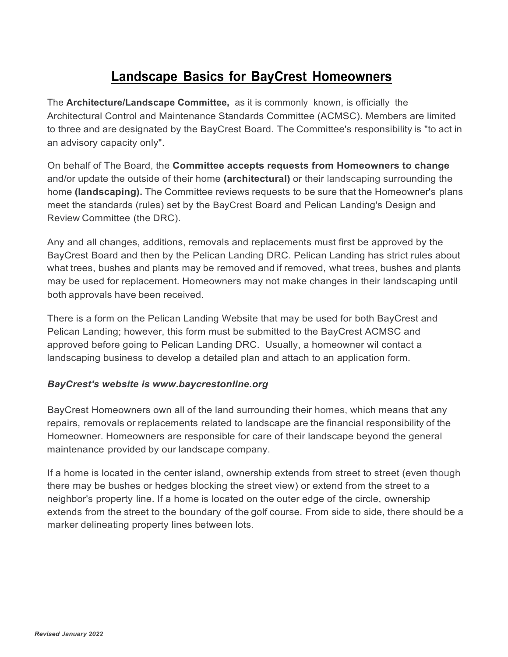## **Landscape Basics for BayCrest Homeowners**

The **Architecture/Landscape Committee,** as it is commonly known, is officially the Architectural Control and Maintenance Standards Committee (ACMSC). Members are limited to three and are designated by the BayCrest Board. The Committee's responsibility is "to act in an advisory capacity only".

On behalf of The Board, the **Committee accepts requests from Homeowners to change** and/or update the outside of their home **(architectural)** or their landscaping surrounding the home **(landscaping).** The Committee reviews requests to be sure that the Homeowner's plans meet the standards (rules) set by the BayCrest Board and Pelican Landing's Design and Review Committee (the DRC).

Any and all changes, additions, removals and replacements must first be approved by the BayCrest Board and then by the Pelican Landing DRC. Pelican Landing has strict rules about what trees, bushes and plants may be removed and if removed, what trees, bushes and plants may be used for replacement. Homeowners may not make changes in their landscaping until both approvals have been received.

There is a form on the Pelican Landing Website that may be used for both BayCrest and Pelican Landing; however, this form must be submitted to the BayCrest ACMSC and approved before going to Pelican Landing DRC. Usually, a homeowner wil contact a landscaping business to develop a detailed plan and attach to an application form.

## *BayCrest's website is www***.***baycrestonline.org*

BayCrest Homeowners own all of the land surrounding their homes, which means that any repairs, removals or replacements related to landscape are the financial responsibility of the Homeowner. Homeowners are responsible for care of their landscape beyond the general maintenance provided by our landscape company.

If a home is located in the center island, ownership extends from street to street (even though there may be bushes or hedges blocking the street view) or extend from the street to a neighbor's property line. If a home is located on the outer edge of the circle, ownership extends from the street to the boundary of the golf course. From side to side, there should be a marker delineating property lines between lots.